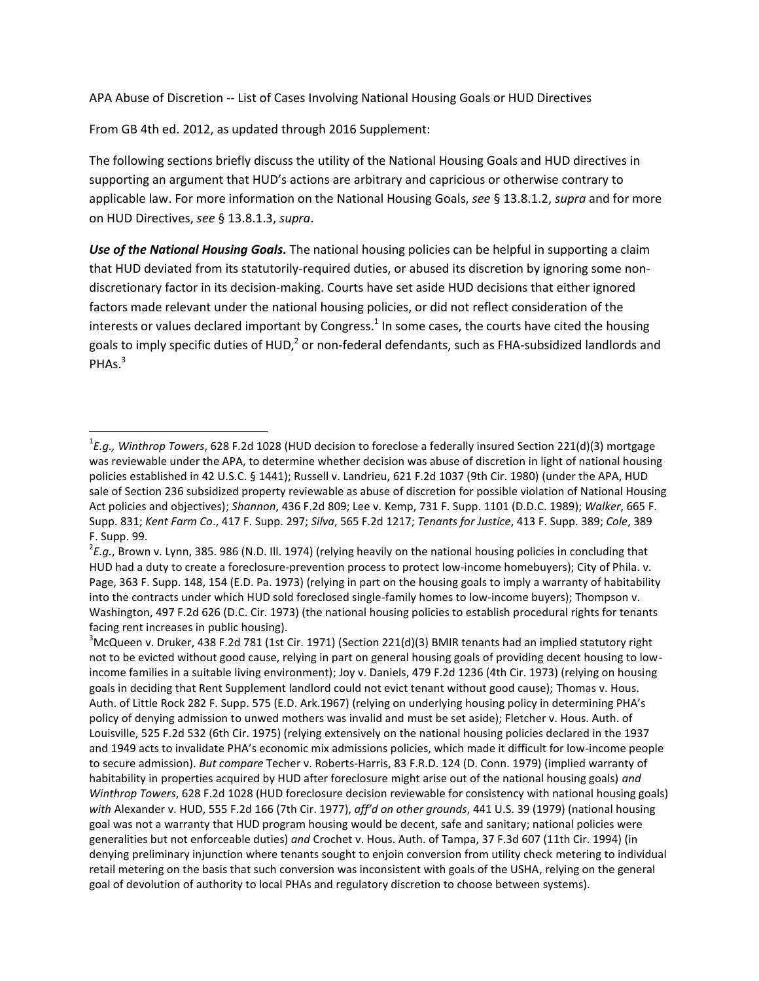APA Abuse of Discretion -- List of Cases Involving National Housing Goals or HUD Directives

From GB 4th ed. 2012, as updated through 2016 Supplement:

 $\overline{\phantom{a}}$ 

The following sections briefly discuss the utility of the National Housing Goals and HUD directives in supporting an argument that HUD's actions are arbitrary and capricious or otherwise contrary to applicable law. For more information on the National Housing Goals, *see* § 13.8.1.2, *supra* and for more on HUD Directives, *see* § 13.8.1.3, *supra*.

*Use of the National Housing Goals***.** The national housing policies can be helpful in supporting a claim that HUD deviated from its statutorily-required duties, or abused its discretion by ignoring some nondiscretionary factor in its decision-making. Courts have set aside HUD decisions that either ignored factors made relevant under the national housing policies, or did not reflect consideration of the interests or values declared important by Congress.<sup>1</sup> In some cases, the courts have cited the housing goals to imply specific duties of HUD,<sup>2</sup> or non-federal defendants, such as FHA-subsidized landlords and PHAs.<sup>3</sup>

<sup>1</sup> *E.g., Winthrop Towers*, 628 F.2d 1028 (HUD decision to foreclose a federally insured Section 221(d)(3) mortgage was reviewable under the APA, to determine whether decision was abuse of discretion in light of national housing policies established in 42 U.S.C. § 1441); Russell v. Landrieu, 621 F.2d 1037 (9th Cir. 1980) (under the APA, HUD sale of Section 236 subsidized property reviewable as abuse of discretion for possible violation of National Housing Act policies and objectives); *Shannon*, 436 F.2d 809; Lee v. Kemp, 731 F. Supp. 1101 (D.D.C. 1989); *Walker*, 665 F. Supp. 831; *Kent Farm Co*., 417 F. Supp. 297; *Silva*, 565 F.2d 1217; *Tenants for Justice*, 413 F. Supp. 389; *Cole*, 389 F. Supp. 99.

<sup>2</sup> *E.g.*, Brown v. Lynn, 385. 986 (N.D. Ill. 1974) (relying heavily on the national housing policies in concluding that HUD had a duty to create a foreclosure-prevention process to protect low-income homebuyers); City of Phila. v. Page, 363 F. Supp. 148, 154 (E.D. Pa. 1973) (relying in part on the housing goals to imply a warranty of habitability into the contracts under which HUD sold foreclosed single-family homes to low-income buyers); Thompson v. Washington, 497 F.2d 626 (D.C. Cir. 1973) (the national housing policies to establish procedural rights for tenants facing rent increases in public housing).

 $3$ McQueen v. Druker, 438 F.2d 781 (1st Cir. 1971) (Section 221(d)(3) BMIR tenants had an implied statutory right not to be evicted without good cause, relying in part on general housing goals of providing decent housing to lowincome families in a suitable living environment); Joy v. Daniels, 479 F.2d 1236 (4th Cir. 1973) (relying on housing goals in deciding that Rent Supplement landlord could not evict tenant without good cause); Thomas v. Hous. Auth. of Little Rock 282 F. Supp. 575 (E.D. Ark.1967) (relying on underlying housing policy in determining PHA's policy of denying admission to unwed mothers was invalid and must be set aside); Fletcher v. Hous. Auth. of Louisville, 525 F.2d 532 (6th Cir. 1975) (relying extensively on the national housing policies declared in the 1937 and 1949 acts to invalidate PHA's economic mix admissions policies, which made it difficult for low-income people to secure admission). *But compare* Techer v. Roberts-Harris, 83 F.R.D. 124 (D. Conn. 1979) (implied warranty of habitability in properties acquired by HUD after foreclosure might arise out of the national housing goals) *and Winthrop Towers*, 628 F.2d 1028 (HUD foreclosure decision reviewable for consistency with national housing goals) *with* Alexander v. HUD, 555 F.2d 166 (7th Cir. 1977), *aff'd on other grounds*, 441 U.S. 39 (1979) (national housing goal was not a warranty that HUD program housing would be decent, safe and sanitary; national policies were generalities but not enforceable duties) *and* Crochet v. Hous. Auth. of Tampa, 37 F.3d 607 (11th Cir. 1994) (in denying preliminary injunction where tenants sought to enjoin conversion from utility check metering to individual retail metering on the basis that such conversion was inconsistent with goals of the USHA, relying on the general goal of devolution of authority to local PHAs and regulatory discretion to choose between systems).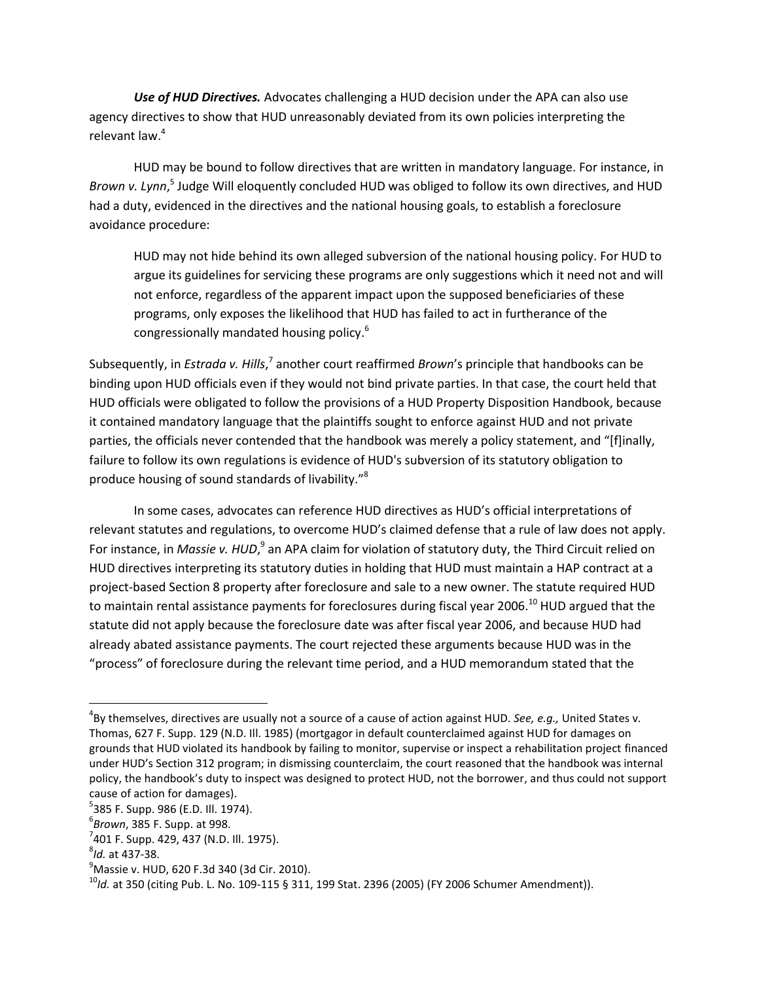*Use of HUD Directives.* Advocates challenging a HUD decision under the APA can also use agency directives to show that HUD unreasonably deviated from its own policies interpreting the relevant law.<sup>4</sup>

HUD may be bound to follow directives that are written in mandatory language. For instance, in Brown v. Lynn,<sup>5</sup> Judge Will eloquently concluded HUD was obliged to follow its own directives, and HUD had a duty, evidenced in the directives and the national housing goals, to establish a foreclosure avoidance procedure:

HUD may not hide behind its own alleged subversion of the national housing policy. For HUD to argue its guidelines for servicing these programs are only suggestions which it need not and will not enforce, regardless of the apparent impact upon the supposed beneficiaries of these programs, only exposes the likelihood that HUD has failed to act in furtherance of the congressionally mandated housing policy.<sup>6</sup>

Subsequently, in *Estrada v. Hills*,<sup>7</sup> another court reaffirmed *Brown*'s principle that handbooks can be binding upon HUD officials even if they would not bind private parties. In that case, the court held that HUD officials were obligated to follow the provisions of a HUD Property Disposition Handbook, because it contained mandatory language that the plaintiffs sought to enforce against HUD and not private parties, the officials never contended that the handbook was merely a policy statement, and "[f]inally, failure to follow its own regulations is evidence of HUD's subversion of its statutory obligation to produce housing of sound standards of livability."<sup>8</sup>

In some cases, advocates can reference HUD directives as HUD's official interpretations of relevant statutes and regulations, to overcome HUD's claimed defense that a rule of law does not apply. For instance, in *Massie v. HUD*,<sup>9</sup> an APA claim for violation of statutory duty, the Third Circuit relied on HUD directives interpreting its statutory duties in holding that HUD must maintain a HAP contract at a project-based Section 8 property after foreclosure and sale to a new owner. The statute required HUD to maintain rental assistance payments for foreclosures during fiscal year 2006.<sup>10</sup> HUD argued that the statute did not apply because the foreclosure date was after fiscal year 2006, and because HUD had already abated assistance payments. The court rejected these arguments because HUD was in the "process" of foreclosure during the relevant time period, and a HUD memorandum stated that the

 $\overline{\phantom{a}}$ 

<sup>4</sup> By themselves, directives are usually not a source of a cause of action against HUD. *See, e.g.,* United States v. Thomas, 627 F. Supp. 129 (N.D. Ill. 1985) (mortgagor in default counterclaimed against HUD for damages on grounds that HUD violated its handbook by failing to monitor, supervise or inspect a rehabilitation project financed under HUD's Section 312 program; in dismissing counterclaim, the court reasoned that the handbook was internal policy, the handbook's duty to inspect was designed to protect HUD, not the borrower, and thus could not support cause of action for damages).

<sup>&</sup>lt;sup>5</sup>385 F. Supp. 986 (E.D. Ill. 1974).

<sup>6</sup> *Brown*, 385 F. Supp. at 998.

<sup>&</sup>lt;sup>7</sup>401 F. Supp. 429, 437 (N.D. Ill. 1975).

<sup>8</sup> *Id.* at 437-38.

 $^{9}$ Massie v. HUD, 620 F.3d 340 (3d Cir. 2010).

<sup>10</sup>*Id.* at 350 (citing Pub. L. No. 109-115 § 311, 199 Stat. 2396 (2005) (FY 2006 Schumer Amendment)).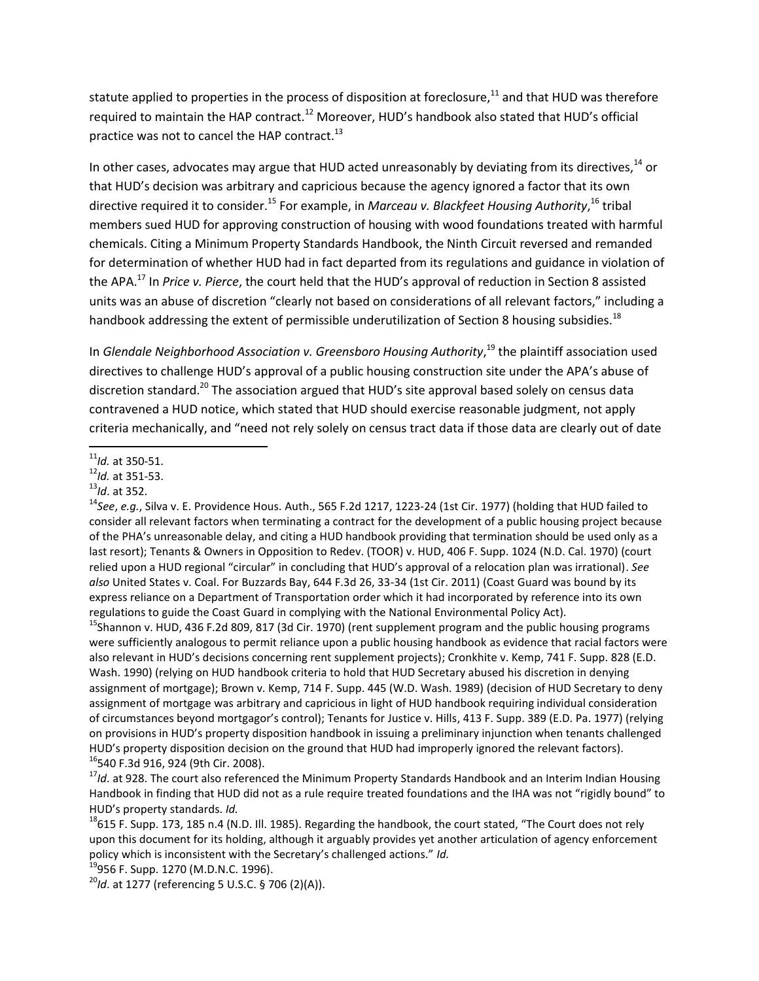statute applied to properties in the process of disposition at foreclosure, $11$  and that HUD was therefore required to maintain the HAP contract.<sup>12</sup> Moreover, HUD's handbook also stated that HUD's official practice was not to cancel the HAP contract.<sup>13</sup>

In other cases, advocates may argue that HUD acted unreasonably by deviating from its directives,<sup>14</sup> or that HUD's decision was arbitrary and capricious because the agency ignored a factor that its own directive required it to consider.<sup>15</sup> For example, in *Marceau v. Blackfeet Housing Authority*,<sup>16</sup> tribal members sued HUD for approving construction of housing with wood foundations treated with harmful chemicals. Citing a Minimum Property Standards Handbook, the Ninth Circuit reversed and remanded for determination of whether HUD had in fact departed from its regulations and guidance in violation of the APA.<sup>17</sup> In *Price v. Pierce*, the court held that the HUD's approval of reduction in Section 8 assisted units was an abuse of discretion "clearly not based on considerations of all relevant factors," including a handbook addressing the extent of permissible underutilization of Section 8 housing subsidies.<sup>18</sup>

In *Glendale Neighborhood Association v. Greensboro Housing Authority*, <sup>19</sup> the plaintiff association used directives to challenge HUD's approval of a public housing construction site under the APA's abuse of discretion standard.<sup>20</sup> The association argued that HUD's site approval based solely on census data contravened a HUD notice, which stated that HUD should exercise reasonable judgment, not apply criteria mechanically, and "need not rely solely on census tract data if those data are clearly out of date

<sup>15</sup>Shannon v. HUD, 436 F.2d 809, 817 (3d Cir. 1970) (rent supplement program and the public housing programs were sufficiently analogous to permit reliance upon a public housing handbook as evidence that racial factors were also relevant in HUD's decisions concerning rent supplement projects); Cronkhite v. Kemp, 741 F. Supp. 828 (E.D. Wash. 1990) (relying on HUD handbook criteria to hold that HUD Secretary abused his discretion in denying assignment of mortgage); Brown v. Kemp, 714 F. Supp. 445 (W.D. Wash. 1989) (decision of HUD Secretary to deny assignment of mortgage was arbitrary and capricious in light of HUD handbook requiring individual consideration of circumstances beyond mortgagor's control); Tenants for Justice v. Hills, 413 F. Supp. 389 (E.D. Pa. 1977) (relying on provisions in HUD's property disposition handbook in issuing a preliminary injunction when tenants challenged HUD's property disposition decision on the ground that HUD had improperly ignored the relevant factors). <sup>16</sup>540 F.3d 916, 924 (9th Cir. 2008).

<sup>17</sup>*Id*. at 928. The court also referenced the Minimum Property Standards Handbook and an Interim Indian Housing Handbook in finding that HUD did not as a rule require treated foundations and the IHA was not "rigidly bound" to HUD's property standards. *Id.*

 $\overline{a}$ <sup>11</sup>*Id.* at 350-51.

<sup>12</sup>*Id.* at 351-53.

<sup>13</sup>*Id*. at 352.

<sup>&</sup>lt;sup>14</sup>See, e.g., Silva v. E. Providence Hous. Auth., 565 F.2d 1217, 1223-24 (1st Cir. 1977) (holding that HUD failed to consider all relevant factors when terminating a contract for the development of a public housing project because of the PHA's unreasonable delay, and citing a HUD handbook providing that termination should be used only as a last resort); Tenants & Owners in Opposition to Redev. (TOOR) v. HUD, 406 F. Supp. 1024 (N.D. Cal. 1970) (court relied upon a HUD regional "circular" in concluding that HUD's approval of a relocation plan was irrational). *See also* United States v. Coal. For Buzzards Bay, 644 F.3d 26, 33-34 (1st Cir. 2011) (Coast Guard was bound by its express reliance on a Department of Transportation order which it had incorporated by reference into its own regulations to guide the Coast Guard in complying with the National Environmental Policy Act).

 $18615$  F. Supp. 173, 185 n.4 (N.D. III. 1985). Regarding the handbook, the court stated, "The Court does not rely upon this document for its holding, although it arguably provides yet another articulation of agency enforcement policy which is inconsistent with the Secretary's challenged actions." *Id.*

<sup>&</sup>lt;sup>19</sup>956 F. Supp. 1270 (M.D.N.C. 1996).

<sup>20</sup>*Id*. at 1277 (referencing 5 U.S.C. § 706 (2)(A)).